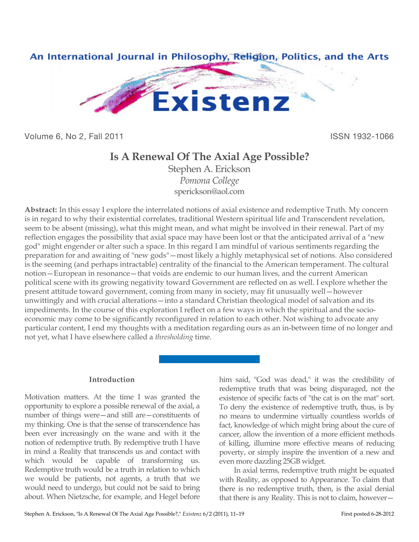

Volume 6, No 2, Fall 2011 **ISSN 1932-1066** 

## **Is A Renewal Of The Axial Age Possible?**

Stephen A. Erickson *Pomona College* sperickson@aol.com

**Abstract:** In this essay I explore the interrelated notions of axial existence and redemptive Truth. My concern is in regard to why their existential correlates, traditional Western spiritual life and Transcendent revelation, seem to be absent (missing), what this might mean, and what might be involved in their renewal. Part of my reflection engages the possibility that axial space may have been lost or that the anticipated arrival of a "new god" might engender or alter such a space. In this regard I am mindful of various sentiments regarding the preparation for and awaiting of "new gods"—most likely a highly metaphysical set of notions. Also considered is the seeming (and perhaps intractable) centrality of the financial to the American temperament. The cultural notion—European in resonance—that voids are endemic to our human lives, and the current American political scene with its growing negativity toward Government are reflected on as well. I explore whether the present attitude toward government, coming from many in society, may fit unusually well—however unwittingly and with crucial alterations—into a standard Christian theological model of salvation and its impediments. In the course of this exploration I reflect on a few ways in which the spiritual and the socioeconomic may come to be significantly reconfigured in relation to each other. Not wishing to advocate any particular content, I end my thoughts with a meditation regarding ours as an in-between time of no longer and not yet, what I have elsewhere called a *thresholding* time.

## **Introduction**

Motivation matters. At the time I was granted the opportunity to explore a possible renewal of the axial, a number of things were—and still are—constituents of my thinking. One is that the sense of transcendence has been ever increasingly on the wane and with it the notion of redemptive truth. By redemptive truth I have in mind a Reality that transcends us and contact with which would be capable of transforming us. Redemptive truth would be a truth in relation to which we would be patients, not agents, a truth that we would need to undergo, but could not be said to bring about. When Nietzsche, for example, and Hegel before

him said, "God was dead," it was the credibility of redemptive truth that was being disparaged, not the existence of specific facts of "the cat is on the mat" sort. To deny the existence of redemptive truth, thus, is by no means to undermine virtually countless worlds of fact, knowledge of which might bring about the cure of cancer, allow the invention of a more efficient methods of killing, illumine more effective means of reducing poverty, or simply inspire the invention of a new and even more dazzling 25GB widget.

In axial terms, redemptive truth might be equated with Reality, as opposed to Appearance. To claim that there is no redemptive truth, then, is the axial denial that there is any Reality. This is not to claim, however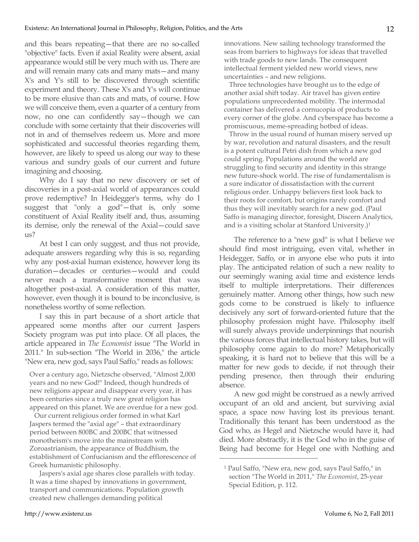and this bears repeating—that there are no so-called "objective" facts. Even if axial Reality were absent, axial appearance would still be very much with us. There are and will remain many cats and many mats—and many X's and Y's still to be discovered through scientific experiment and theory. These X's and Y's will continue to be more elusive than cats and mats, of course. How we will conceive them, even a quarter of a century from now, no one can confidently say—though we can conclude with some certainty that their discoveries will not in and of themselves redeem us. More and more sophisticated and successful theories regarding them, however, are likely to speed us along our way to these various and sundry goals of our current and future imagining and choosing.

Why do I say that no new discovery or set of discoveries in a post-axial world of appearances could prove redemptive? In Heidegger's terms, why do I suggest that "only a god"—that is, only some constituent of Axial Reality itself and, thus, assuming its demise, only the renewal of the Axial—could save us?

At best I can only suggest, and thus not provide, adequate answers regarding why this is so, regarding why any post-axial human existence, however long its duration—decades or centuries—would and could never reach a transformative moment that was altogether post-axial. A consideration of this matter, however, even though it is bound to be inconclusive, is nonetheless worthy of some reflection.

I say this in part because of a short article that appeared some months after our current Jaspers Society program was put into place. Of all places, the article appeared in *The Economist* issue "The World in 2011." In sub-section "The World in 2036," the article "New era, new god, says Paul Saffo," reads as follows:

Over a century ago, Nietzsche observed, "Almost 2,000 years and no new God!" Indeed, though hundreds of new religions appear and disappear every year, it has been centuries since a truly new great religion has appeared on this planet. We are overdue for a new god.

Our current religious order formed in what Karl Jaspers termed the "axial age" – that extraordinary period between 800BC and 200BC that witnessed monotheism's move into the mainstream with Zoroastrianism, the appearance of Buddhism, the establishment of Confucianism and the efflorescence of Greek humanistic philosophy.

Jaspers's axial age shares close parallels with today. It was a time shaped by innovations in government, transport and communications. Population growth created new challenges demanding political

innovations. New sailing technology transformed the seas from barriers to highways for ideas that travelled with trade goods to new lands. The consequent intellectual ferment yielded new world views, new uncertainties – and new religions.

Three technologies have brought us to the edge of another axial shift today. Air travel has given entire populations unprecedented mobility. The intermodal container has delivered a cornucopia of products to every corner of the globe. And cyberspace has become a promiscuous, meme-spreading hotbed of ideas.

Throw in the usual round of human misery served up by war, revolution and natural disasters, and the result is a potent cultural Petri dish from which a new god could spring. Populations around the world are struggling to find security and identity in this strange new future-shock world. The rise of fundamentalism is a sure indicator of dissatisfaction with the current religious order. Unhappy believers first look back to their roots for comfort, but origins rarely comfort and thus they will inevitably search for a new god. (Paul Saffo is managing director, foresight, Discern Analytics, and is a visiting scholar at Stanford University.)1

The reference to a "new god" is what I believe we should find most intriguing, even vital, whether in Heidegger, Saffo, or in anyone else who puts it into play. The anticipated relation of such a new reality to our seemingly waning axial time and existence lends itself to multiple interpretations. Their differences genuinely matter. Among other things, how such new gods come to be construed is likely to influence decisively any sort of forward-oriented future that the philosophy profession might have. Philosophy itself will surely always provide underpinnings that nourish the various forces that intellectual history takes, but will philosophy come again to do more? Metaphorically speaking, it is hard not to believe that this will be a matter for new gods to decide, if not through their pending presence, then through their enduring absence.

A new god might be construed as a newly arrived occupant of an old and ancient, but surviving axial space, a space now having lost its previous tenant. Traditionally this tenant has been understood as the God who, as Hegel and Nietzsche would have it, had died. More abstractly, it is the God who in the guise of Being had become for Hegel one with Nothing and

 $\overline{a}$ 

<sup>1</sup> Paul Saffo, "New era, new god, says Paul Saffo," in section "The World in 2011," *The Economist*, 25-year Special Edition, p. 112.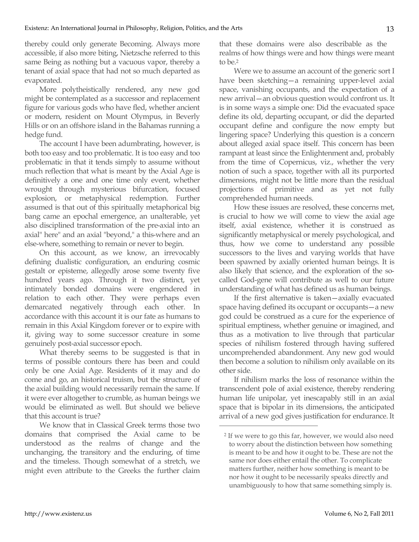thereby could only generate Becoming. Always more accessible, if also more biting, Nietzsche referred to this same Being as nothing but a vacuous vapor, thereby a tenant of axial space that had not so much departed as evaporated.

More polytheistically rendered, any new god might be contemplated as a successor and replacement figure for various gods who have fled, whether ancient or modern, resident on Mount Olympus, in Beverly Hills or on an offshore island in the Bahamas running a hedge fund.

The account I have been adumbrating, however, is both too easy and too problematic. It is too easy and too problematic in that it tends simply to assume without much reflection that what is meant by the Axial Age is definitively a one and one time only event, whether wrought through mysterious bifurcation, focused explosion, or metaphysical redemption. Further assumed is that out of this spiritually metaphorical big bang came an epochal emergence, an unalterable, yet also disciplined transformation of the pre-axial into an axial" here" and an axial "beyond," a this-where and an else-where, something to remain or never to begin.

On this account, as we know, an irrevocably defining dualistic configuration, an enduring cosmic gestalt or episteme, allegedly arose some twenty five hundred years ago. Through it two distinct, yet intimately bonded domains were engendered in relation to each other. They were perhaps even demarcated negatively through each other. In accordance with this account it is our fate as humans to remain in this Axial Kingdom forever or to expire with it, giving way to some successor creature in some genuinely post-axial successor epoch.

What thereby seems to be suggested is that in terms of possible contours there has been and could only be one Axial Age. Residents of it may and do come and go, an historical truism, but the structure of the axial building would necessarily remain the same. If it were ever altogether to crumble, as human beings we would be eliminated as well. But should we believe that this account is true?

We know that in Classical Greek terms those two domains that comprised the Axial came to be understood as the realms of change and the unchanging, the transitory and the enduring, of time and the timeless. Though somewhat of a stretch, we might even attribute to the Greeks the further claim that these domains were also describable as the realms of how things were and how things were meant to be.2

Were we to assume an account of the generic sort I have been sketching—a remaining upper-level axial space, vanishing occupants, and the expectation of a new arrival—an obvious question would confront us. It is in some ways a simple one: Did the evacuated space define its old, departing occupant, or did the departed occupant define and configure the now empty but lingering space? Underlying this question is a concern about alleged axial space itself. This concern has been rampant at least since the Enlightenment and, probably from the time of Copernicus, viz., whether the very notion of such a space, together with all its purported dimensions, might not be little more than the residual projections of primitive and as yet not fully comprehended human needs.

How these issues are resolved, these concerns met, is crucial to how we will come to view the axial age itself, axial existence, whether it is construed as significantly metaphysical or merely psychological, and thus, how we come to understand any possible successors to the lives and varying worlds that have been spawned by axially oriented human beings. It is also likely that science, and the exploration of the socalled God-gene will contribute as well to our future understanding of what has defined us as human beings.

If the first alternative is taken—axially evacuated space having defined its occupant or occupants—a new god could be construed as a cure for the experience of spiritual emptiness, whether genuine or imagined, and thus as a motivation to live through that particular species of nihilism fostered through having suffered uncomprehended abandonment. Any new god would then become a solution to nihilism only available on its other side.

If nihilism marks the loss of resonance within the transcendent pole of axial existence, thereby rendering human life unipolar, yet inescapably still in an axial space that is bipolar in its dimensions, the anticipated arrival of a new god gives justification for endurance. It

 $\overline{a}$ 

<sup>&</sup>lt;sup>2</sup> If we were to go this far, however, we would also need to worry about the distinction between how something is meant to be and how it ought to be. These are not the same nor does either entail the other. To complicate matters further, neither how something is meant to be nor how it ought to be necessarily speaks directly and unambiguously to how that same something simply is.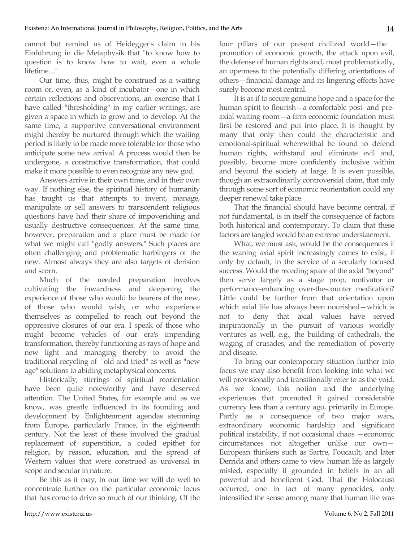cannot but remind us of Heidegger's claim in his Einführung in die Metaphysik that "to know how to question is to know how to wait, even a whole lifetime...."

Our time, thus, might be construed as a waiting room or, even, as a kind of incubator—one in which certain reflections and observations, an exercise that I have called "thresholding" in my earlier writings, are given a space in which to grow and to develop. At the same time, a supportive conversational environment might thereby be nurtured through which the waiting period is likely to be made more tolerable for those who anticipate some new arrival. A process would then be undergone, a constructive transformation, that could make it more possible to even recognize any new god.

Answers arrive in their own time, and in their own way. If nothing else, the spiritual history of humanity has taught us that attempts to invent, manage, manipulate or sell answers to transcendent religious questions have had their share of impoverishing and usually destructive consequences. At the same time, however, preparation and a place must be made for what we might call "godly answers." Such places are often challenging and problematic harbingers of the new. Almost always they are also targets of derision and scorn.

Much of the needed preparation involves cultivating the inwardness and deepening the experience of those who would be bearers of the new, of those who would wish, or who experience themselves as compelled to reach out beyond the oppressive closures of our era. I speak of those who might become vehicles of our era's impending transformation, thereby functioning as rays of hope and new light and managing thereby to avoid the traditional recycling of "old and tried" as well as "new age" solutions to abiding metaphysical concerns.

Historically, stirrings of spiritual reorientation have been quite noteworthy and have deserved attention. The United States, for example and as we know, was greatly influenced in its founding and development by Enlightenment agendas stemming from Europe, particularly France, in the eighteenth century. Not the least of these involved the gradual replacement of superstition, a coded epithet for religion, by reason, education, and the spread of Western values that were construed as universal in scope and secular in nature.

Be this as it may, in our time we will do well to concentrate further on the particular economic focus that has come to drive so much of our thinking. Of the four pillars of our present civilized world—the promotion of economic growth, the attack upon evil, the defense of human rights and, most problematically, an openness to the potentially differing orientations of others—financial damage and its lingering effects have surely become most central.

It is as if to secure genuine hope and a space for the human spirit to flourish—a comfortable post- and preaxial waiting room—a firm economic foundation must first be restored and put into place. It is thought by many that only then could the characteristic and emotional-spiritual wherewithal be found to defend human rights, withstand and eliminate evil and, possibly, become more confidently inclusive within and beyond the society at large. It is even possible, though an extraordinarily controversial claim, that only through some sort of economic reorientation could any deeper renewal take place.

That the financial should have become central, if not fundamental, is in itself the consequence of factors both historical and contemporary. To claim that these factors are tangled would be an extreme understatement.

What, we must ask, would be the consequences if the waning axial spirit increasingly comes to exist, if only by default, in the service of a secularly focused success. Would the receding space of the axial "beyond" then serve largely as a stage prop, motivator or performance-enhancing over-the-counter medication? Little could be further from that orientation upon which axial life has always been nourished—which is not to deny that axial values have served inspirationally in the pursuit of various worldly ventures as well, e.g., the building of cathedrals, the waging of crusades, and the remediation of poverty and disease.

To bring our contemporary situation further into focus we may also benefit from looking into what we will provisionally and transitionally refer to as the void. As we know, this notion and the underlying experiences that promoted it gained considerable currency less than a century ago, primarily in Europe. Partly as a consequence of two major wars, extraordinary economic hardship and significant political instability, if not occasional chaos —economic circumstances not altogether unlike our own— European thinkers such as Sartre, Foucault, and later Derrida and others came to view human life as largely misled, especially if grounded in beliefs in an all powerful and beneficent God. That the Holocaust occurred, one in fact of many genocides, only intensified the sense among many that human life was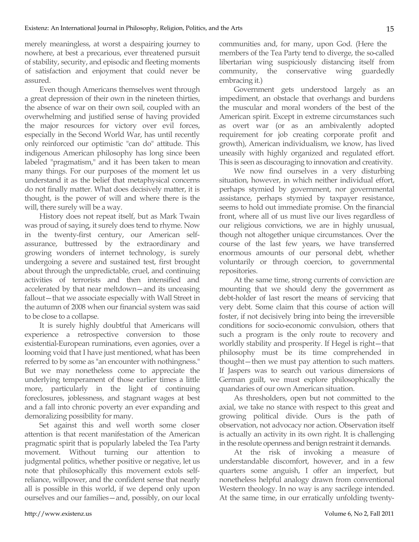merely meaningless, at worst a despairing journey to nowhere, at best a precarious, ever threatened pursuit of stability, security, and episodic and fleeting moments of satisfaction and enjoyment that could never be assured.

Even though Americans themselves went through a great depression of their own in the nineteen thirties, the absence of war on their own soil, coupled with an overwhelming and justified sense of having provided the major resources for victory over evil forces, especially in the Second World War, has until recently only reinforced our optimistic "can do" attitude. This indigenous American philosophy has long since been labeled "pragmatism," and it has been taken to mean many things. For our purposes of the moment let us understand it as the belief that metaphysical concerns do not finally matter. What does decisively matter, it is thought, is the power of will and where there is the will, there surely will be a way.

History does not repeat itself, but as Mark Twain was proud of saying, it surely does tend to rhyme. Now in the twenty-first century, our American selfassurance, buttressed by the extraordinary and growing wonders of internet technology, is surely undergoing a severe and sustained test, first brought about through the unpredictable, cruel, and continuing activities of terrorists and then intensified and accelerated by that near meltdown—and its unceasing fallout-that we associate especially with Wall Street in the autumn of 2008 when our financial system was said to be close to a collapse.

It is surely highly doubtful that Americans will experience a retrospective conversion to those existential-European ruminations, even agonies, over a looming void that I have just mentioned, what has been referred to by some as "an encounter with nothingness." But we may nonetheless come to appreciate the underlying temperament of those earlier times a little more, particularly in the light of continuing foreclosures, joblessness, and stagnant wages at best and a fall into chronic poverty an ever expanding and demoralizing possibility for many.

Set against this and well worth some closer attention is that recent manifestation of the American pragmatic spirit that is popularly labeled the Tea Party movement. Without turning our attention to judgmental politics, whether positive or negative, let us note that philosophically this movement extols selfreliance, willpower, and the confident sense that nearly all is possible in this world, if we depend only upon ourselves and our families—and, possibly, on our local communities and, for many, upon God. (Here the members of the Tea Party tend to diverge, the so-called libertarian wing suspiciously distancing itself from community, the conservative wing guardedly embracing it.)

Government gets understood largely as an impediment, an obstacle that overhangs and burdens the muscular and moral wonders of the best of the American spirit. Except in extreme circumstances such as overt war (or as an ambivalently adopted requirement for job creating corporate profit and growth), American individualism, we know, has lived uneasily with highly organized and regulated effort. This is seen as discouraging to innovation and creativity.

We now find ourselves in a very disturbing situation, however, in which neither individual effort, perhaps stymied by government, nor governmental assistance, perhaps stymied by taxpayer resistance, seems to hold out immediate promise. On the financial front, where all of us must live our lives regardless of our religious convictions, we are in highly unusual, though not altogether unique circumstances. Over the course of the last few years, we have transferred enormous amounts of our personal debt, whether voluntarily or through coercion, to governmental repositories.

At the same time, strong currents of conviction are mounting that we should deny the government as debt-holder of last resort the means of servicing that very debt. Some claim that this course of action will foster, if not decisively bring into being the irreversible conditions for socio-economic convulsion, others that such a program is the only route to recovery and worldly stability and prosperity. If Hegel is right—that philosophy must be its time comprehended in thought—then we must pay attention to such matters. If Jaspers was to search out various dimensions of German guilt, we must explore philosophically the quandaries of our own American situation.

As thresholders, open but not committed to the axial, we take no stance with respect to this great and growing political divide. Ours is the path of observation, not advocacy nor action. Observation itself is actually an activity in its own right. It is challenging in the resolute openness and benign restraint it demands.

At the risk of invoking a measure of understandable discomfort, however, and in a few quarters some anguish, I offer an imperfect, but nonetheless helpful analogy drawn from conventional Western theology. In no way is any sacrilege intended. At the same time, in our erratically unfolding twenty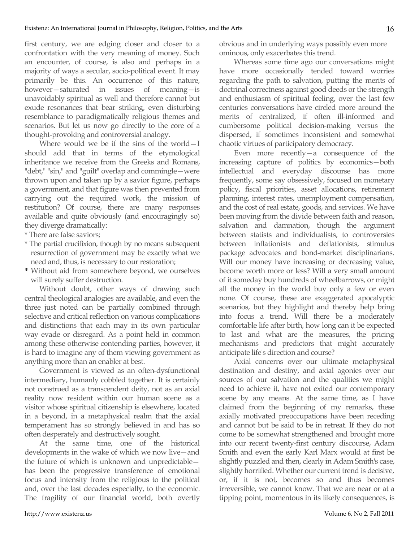first century, we are edging closer and closer to a confrontation with the very meaning of money. Such an encounter, of course, is also and perhaps in a majority of ways a secular, socio-political event. It may primarily be this. An occurrence of this nature, however—saturated in issues of meaning—is unavoidably spiritual as well and therefore cannot but exude resonances that bear striking, even disturbing resemblance to paradigmatically religious themes and scenarios. But let us now go directly to the core of a thought-provoking and controversial analogy.

Where would we be if the sins of the world—I should add that in terms of the etymological inheritance we receive from the Greeks and Romans, "debt," "sin," and "guilt" overlap and commingle—were thrown upon and taken up by a savior figure, perhaps a government, and that figure was then prevented from carrying out the required work, the mission of restitution? Of course, there are many responses available and quite obviously (and encouragingly so) they diverge dramatically:

\* There are false saviors;

- \* The partial crucifixion, though by no means subsequent resurrection of government may be exactly what we need and, thus, is necessary to our restoration;
- \* Without aid from somewhere beyond, we ourselves will surely suffer destruction.

Without doubt, other ways of drawing such central theological analogies are available, and even the three just noted can be partially combined through selective and critical reflection on various complications and distinctions that each may in its own particular way evade or disregard. As a point held in common among these otherwise contending parties, however, it is hard to imagine any of them viewing government as anything more than an enabler at best.

Government is viewed as an often-dysfunctional intermediary, humanly cobbled together. It is certainly not construed as a transcendent deity, not as an axial reality now resident within our human scene as a visitor whose spiritual citizenship is elsewhere, located in a beyond, in a metaphysical realm that the axial temperament has so strongly believed in and has so often desperately and destructively sought.

At the same time, one of the historical developments in the wake of which we now live—and the future of which is unknown and unpredictable has been the progressive transference of emotional focus and intensity from the religious to the political and, over the last decades especially, to the economic. The fragility of our financial world, both overtly obvious and in underlying ways possibly even more ominous, only exacerbates this trend.

Whereas some time ago our conversations might have more occasionally tended toward worries regarding the path to salvation, putting the merits of doctrinal correctness against good deeds or the strength and enthusiasm of spiritual feeling, over the last few centuries conversations have circled more around the merits of centralized, if often ill-informed and cumbersome political decision-making versus the dispersed, if sometimes inconsistent and somewhat chaotic virtues of participatory democracy.

Even more recently—a consequence of the increasing capture of politics by economics—both intellectual and everyday discourse has more frequently, some say obsessively, focused on monetary policy, fiscal priorities, asset allocations, retirement planning, interest rates, unemployment compensation, and the cost of real estate, goods, and services. We have been moving from the divide between faith and reason, salvation and damnation, though the argument between statists and individualists, to controversies between inflationists and deflationists, stimulus package advocates and bond-market disciplinarians. Will our money have increasing or decreasing value, become worth more or less? Will a very small amount of it someday buy hundreds of wheelbarrows, or might all the money in the world buy only a few or even none. Of course, these are exaggerated apocalyptic scenarios, but they highlight and thereby help bring into focus a trend. Will there be a moderately comfortable life after birth, how long can it be expected to last and what are the measures, the pricing mechanisms and predictors that might accurately anticipate life's direction and course?

Axial concerns over our ultimate metaphysical destination and destiny, and axial agonies over our sources of our salvation and the qualities we might need to achieve it, have not exited our contemporary scene by any means. At the same time, as I have claimed from the beginning of my remarks, these axially motivated preoccupations have been receding and cannot but be said to be in retreat. If they do not come to be somewhat strengthened and brought more into our recent twenty-first century discourse, Adam Smith and even the early Karl Marx would at first be slightly puzzled and then, clearly in Adam Smith's case, slightly horrified. Whether our current trend is decisive, or, if it is not, becomes so and thus becomes irreversible, we cannot know. That we are near or at a tipping point, momentous in its likely consequences, is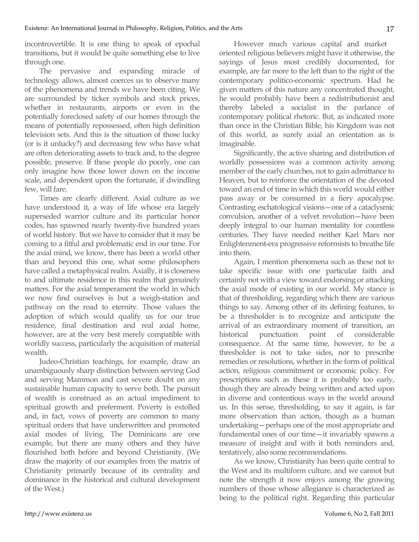incontrovertible. It is one thing to speak of epochal transitions, but it would be quite something else to live through one.

The pervasive and expanding miracle of technology allows, almost coerces us to observe many of the phenomena and trends we have been citing. We are surrounded by ticker symbols and stock prices, whether in restaurants, airports or even in the potentially foreclosed safety of our homes through the means of potentially repossessed, often high definition television sets. And this is the situation of those lucky (or is it unlucky?) and decreasing few who have what are often deteriorating assets to track and, to the degree possible, preserve. If these people do poorly, one can only imagine how those lower down on the income scale, and dependent upon the fortunate, if dwindling few, will fare.

Times are clearly different. Axial culture as we have understood it, a way of life whose era largely superseded warrior culture and its particular honor codes, has spawned nearly twenty-five hundred years of world history. But we have to consider that it may be coming to a fitful and problematic end in our time. For the axial mind, we know, there has been a world other than and beyond this one, what some philosophers have called a metaphysical realm. Axially, it is closeness to and ultimate residence in this realm that genuinely matters. For the axial temperament the world in which we now find ourselves is but a weigh-station and pathway on the road to eternity. Those values the adoption of which would qualify us for our true residence, final destination and real axial home, however, are at the very best merely compatible with worldly success, particularly the acquisition of material wealth.

Judeo-Christian teachings, for example, draw an unambiguously sharp distinction between serving God and serving Mammon and cast severe doubt on any sustainable human capacity to serve both. The pursuit of wealth is construed as an actual impediment to spiritual growth and preferment. Poverty is extolled and, in fact, vows of poverty are common to many spiritual orders that have underwritten and promoted axial modes of living. The Dominicans are one example, but there are many others and they have flourished both before and beyond Christianity. (We draw the majority of our examples from the matrix of Christianity primarily because of its centrality and dominance in the historical and cultural development of the West.)

However much various capital and market oriented religious believers might have it otherwise, the sayings of Jesus most credibly documented, for example, are far more to the left than to the right of the contemporary politico-economic spectrum. Had he given matters of this nature any concentrated thought, he would probably have been a redistributionist and thereby labeled a socialist in the parlance of contemporary political rhetoric. But, as indicated more than once in the Christian Bible, his Kingdom was not of this world, as surely axial an orientation as is imaginable.

Significantly, the active sharing and distribution of worldly possessions was a common activity among member of the early churches, not to gain admittance to Heaven, but to reinforce the orientation of the devoted toward an end of time in which this world would either pass away or be consumed in a fiery apocalypse. Contrasting eschatological visions—one of a cataclysmic convulsion, another of a velvet revolution—have been deeply integral to our human mentality for countless centuries. They have needed neither Karl Marx nor Enlightenment-era progressive reformists to breathe life into them.

Again, I mention phenomena such as these not to take specific issue with one particular faith and certainly not with a view toward endorsing or attacking the axial mode of existing in our world. My stance is that of thresholding, regarding which there are various things to say. Among other of its defining features, to be a thresholder is to recognize and anticipate the arrival of an extraordinary moment of transition, an historical punctuation point of considerable consequence. At the same time, however, to be a thresholder is not to take sides, nor to prescribe remedies or resolutions, whether in the form of political action, religious commitment or economic policy. For prescriptions such as these it is probably too early, though they are already being written and acted upon in diverse and contentious ways in the world around us. In this sense, thresholding, to say it again, is far more observation than action, though as a human undertaking—perhaps one of the most appropriate and fundamental ones of our time—it invariably spawns a measure of insight and with it both reminders and, tentatively, also some recommendations.

As we know, Christianity has been quite central to the West and its multiform culture, and we cannot but note the strength it now enjoys among the growing numbers of those whose allegiance is characterized as being to the political right. Regarding this particular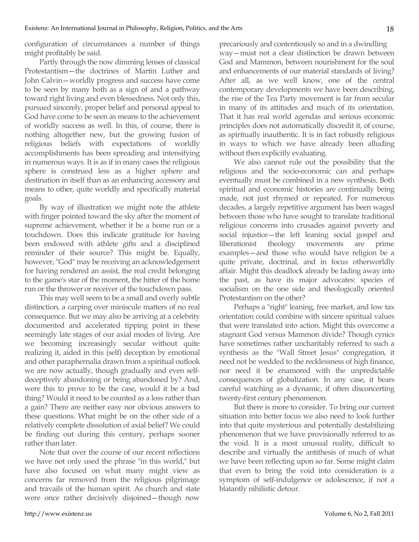configuration of circumstances a number of things might profitably be said.

Partly through the now dimming lenses of classical Protestantism—the doctrines of Martin Luther and John Calvin—worldly progress and success have come to be seen by many both as a sign of and a pathway toward right living and even blessedness. Not only this, pursued sincerely, proper belief and personal appeal to God have come to be seen as means to the achievement of worldly success as well. In this, of course, there is nothing altogether new, but the growing fusion of religious beliefs with expectations of worldly accomplishments has been spreading and intensifying in numerous ways. It is as if in many cases the religious sphere is construed less as a higher sphere and destination in itself than as an enhancing accessory and means to other, quite worldly and specifically material goals.

By way of illustration we might note the athlete with finger pointed toward the sky after the moment of supreme achievement, whether it be a home run or a touchdown. Does this indicate gratitude for having been endowed with athlete gifts and a disciplined reminder of their source? This might be. Equally, however, "God" may be receiving an acknowledgement for having rendered an assist, the real credit belonging to the game's star of the moment, the hitter of the home run or the thrower or receiver of the touchdown pass.

This may well seem to be a small and overly subtle distinction, a carping over miniscule matters of no real consequence. But we may also be arriving at a celebrity documented and accelerated tipping point in these seemingly late stages of our axial modes of living. Are we becoming increasingly secular without quite realizing it, aided in this (self) deception by emotional and other paraphernalia drawn from a spiritual outlook we are now actually, though gradually and even selfdeceptively abandoning or being abandoned by? And, were this to prove to be the case, would it be a bad thing? Would it need to be counted as a loss rather than a gain? There are neither easy nor obvious answers to these questions. What might be on the other side of a relatively complete dissolution of axial belief? We could be finding out during this century, perhaps sooner rather than later.

Note that over the course of our recent reflections we have not only used the phrase "in this world," but have also focused on what many might view as concerns far removed from the religious pilgrimage and travails of the human spirit. As church and state were once rather decisively disjoined—though now

precariously and contentiously so and in a dwindling way—must not a clear distinction be drawn between God and Mammon, between nourishment for the soul and enhancements of our material standards of living? After all, as we well know, one of the central contemporary developments we have been describing, the rise of the Tea Party movement is far from secular in many of its attitudes and much of its orientation. That it has real world agendas and serious economic principles does not automatically discredit it, of course, as spiritually inauthentic. It is in fact robustly religious in ways to which we have already been alluding without then explicitly evaluating.

We also cannot rule out the possibility that the religious and the socio-economic can and perhaps eventually must be combined in a new synthesis. Both spiritual and economic histories are continually being made, not just rhymed or repeated. For numerous decades, a largely repetitive argument has been waged between those who have sought to translate traditional religious concerns into crusades against poverty and social injustice—the left leaning social gospel and liberationist theology movements are prime examples—and those who would have religion be a quite private, doctrinal, and in focus otherworldly affair. Might this deadlock already be fading away into the past, as have its major advocates: species of socialism on the one side and theologically oriented Protestantism on the other?

Perhaps a "right" leaning, free market, and low tax orientation could combine with sincere spiritual values that were translated into action. Might this overcome a stagnant God versus Mammon divide? Though cynics have sometimes rather uncharitably referred to such a synthesis as the "Wall Street Jesus" congregation, it need not be wedded to the recklessness of high finance, nor need it be enamored with the unpredictable consequences of globalization. In any case, it bears careful watching as a dynamic, if often disconcerting twenty-first century phenomenon.

But there is more to consider. To bring our current situation into better focus we also need to look further into that quite mysterious and potentially destabilizing phenomenon that we have provisionally referred to as the void. It is a most unusual reality, difficult to describe and virtually the antithesis of much of what we have been reflecting upon so far. Some might claim that even to bring the void into consideration is a symptom of self-indulgence or adolescence, if not a blatantly nihilistic detour.